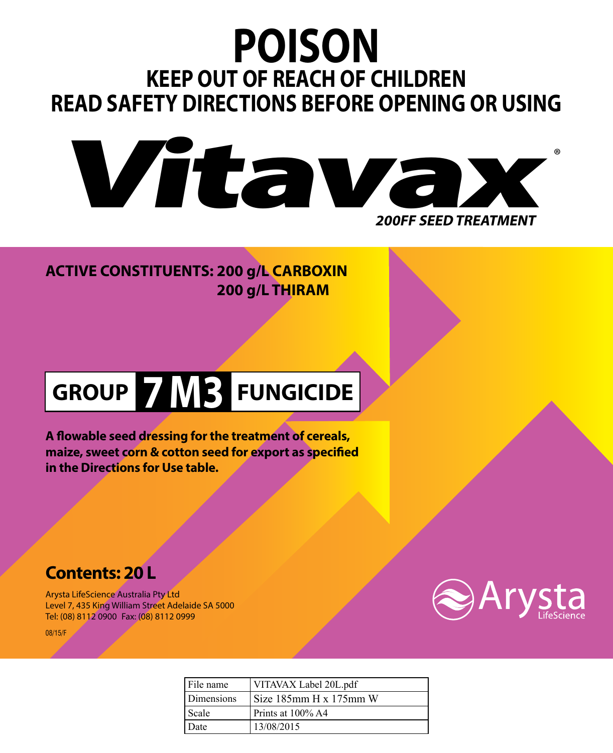# **POISON KEEP OUT OF REACH OF CHILDREN READ SAFETY DIRECTIONS BEFORE OPENING OR USING**



**ACTIVE CONSTITUENTS: 200 g/L CARBOXIN 200 g/L THIRAM**

# **GROUP 7 M3 FUNGICIDE**

**A flowable seed dressing for the treatment of cereals, maize, sweet corn & cotton seed for export as specified in the Directions for Use table.**

## **Contents: 20 L**

Arysta LifeScience Australia Pty Ltd Level 7, 435 King William Street Adelaide SA 5000 Tel: (08) 8112 0900 Fax: (08) 8112 0999